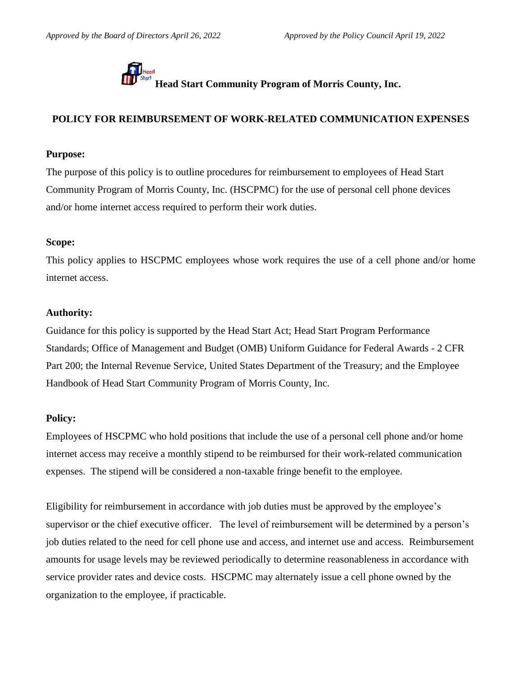

**Head Start Community Program of Morris County, Inc.**<br>Head Start Community Program of Morris County, Inc.

# **POLICY FOR REIMBURSEMENT OF WORK-RELATED COMMUNICATION EXPENSES**

### **Purpose:**

The purpose of this policy is to outline procedures for reimbursement to employees of Head Start Community Program of Morris County, Inc. (HSCPMC) for the use of personal cell phone devices and/or home internet access required to perform their work duties.

## **Scope:**

This policy applies to HSCPMC employees whose work requires the use of a cell phone and/or home internet access.

# **Authority:**

Guidance for this policy is supported by the Head Start Act; Head Start Program Performance Standards; Office of Management and Budget (OMB) Uniform Guidance for Federal Awards - 2 CFR Part 200; the Internal Revenue Service, United States Department of the Treasury; and the Employee Handbook of Head Start Community Program of Morris County, Inc.

### **Policy:**

Employees of HSCPMC who hold positions that include the use of a personal cell phone and/or home internet access may receive a monthly stipend to be reimbursed for their work-related communication expenses. The stipend will be considered a non-taxable fringe benefit to the employee.

Eligibility for reimbursement in accordance with job duties must be approved by the employee's supervisor or the chief executive officer. The level of reimbursement will be determined by a person's job duties related to the need for cell phone use and access, and internet use and access. Reimbursement amounts for usage levels may be reviewed periodically to determine reasonableness in accordance with service provider rates and device costs. HSCPMC may alternately issue a cell phone owned by the organization to the employee, if practicable.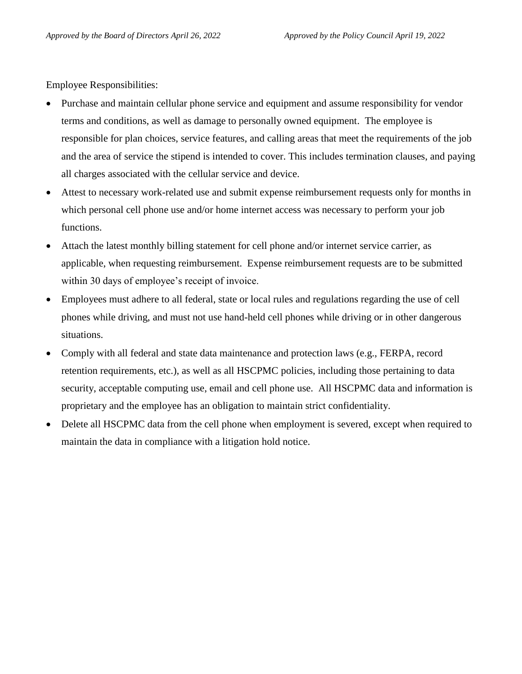Employee Responsibilities:

- Purchase and maintain cellular phone service and equipment and assume responsibility for vendor terms and conditions, as well as damage to personally owned equipment. The employee is responsible for plan choices, service features, and calling areas that meet the requirements of the job and the area of service the stipend is intended to cover. This includes termination clauses, and paying all charges associated with the cellular service and device.
- Attest to necessary work-related use and submit expense reimbursement requests only for months in which personal cell phone use and/or home internet access was necessary to perform your job functions.
- Attach the latest monthly billing statement for cell phone and/or internet service carrier, as applicable, when requesting reimbursement. Expense reimbursement requests are to be submitted within 30 days of employee's receipt of invoice.
- Employees must adhere to all federal, state or local rules and regulations regarding the use of cell phones while driving, and must not use hand-held cell phones while driving or in other dangerous situations.
- Comply with all federal and state data maintenance and protection laws (e.g., FERPA, record retention requirements, etc.), as well as all HSCPMC policies, including those pertaining to data security, acceptable computing use, email and cell phone use. All HSCPMC data and information is proprietary and the employee has an obligation to maintain strict confidentiality.
- Delete all HSCPMC data from the cell phone when employment is severed, except when required to maintain the data in compliance with a litigation hold notice.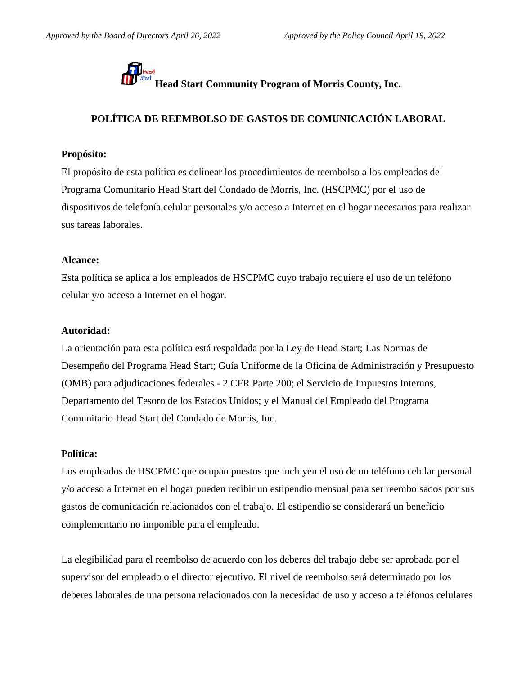

**Head Start Community Program of Morris County, Inc.**<br>Head Start Community Program of Morris County, Inc.

# **POLÍTICA DE REEMBOLSO DE GASTOS DE COMUNICACIÓN LABORAL**

## **Propósito:**

El propósito de esta política es delinear los procedimientos de reembolso a los empleados del Programa Comunitario Head Start del Condado de Morris, Inc. (HSCPMC) por el uso de dispositivos de telefonía celular personales y/o acceso a Internet en el hogar necesarios para realizar sus tareas laborales.

## **Alcance:**

Esta política se aplica a los empleados de HSCPMC cuyo trabajo requiere el uso de un teléfono celular y/o acceso a Internet en el hogar.

## **Autoridad:**

La orientación para esta política está respaldada por la Ley de Head Start; Las Normas de Desempeño del Programa Head Start; Guía Uniforme de la Oficina de Administración y Presupuesto (OMB) para adjudicaciones federales - 2 CFR Parte 200; el Servicio de Impuestos Internos, Departamento del Tesoro de los Estados Unidos; y el Manual del Empleado del Programa Comunitario Head Start del Condado de Morris, Inc.

### **Política:**

Los empleados de HSCPMC que ocupan puestos que incluyen el uso de un teléfono celular personal y/o acceso a Internet en el hogar pueden recibir un estipendio mensual para ser reembolsados por sus gastos de comunicación relacionados con el trabajo. El estipendio se considerará un beneficio complementario no imponible para el empleado.

La elegibilidad para el reembolso de acuerdo con los deberes del trabajo debe ser aprobada por el supervisor del empleado o el director ejecutivo. El nivel de reembolso será determinado por los deberes laborales de una persona relacionados con la necesidad de uso y acceso a teléfonos celulares